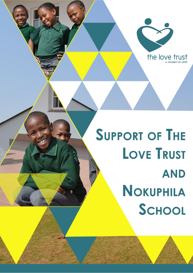

**SUPPORT OF THE LOVE TRUST AND** NOKUPHILA SCHOOL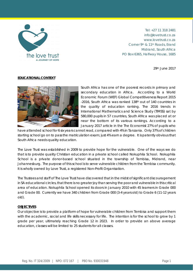

Tel: +27 11 318 2481 info@lovetrust.co.za www.lovetrust.co.za Corner 9th & 11th Roads, Erand Midrand, South Africa PO Box 6365, Halfway House, 1685

29th June 2017

#### **EDUCATIONAL CONTEXT**



South Africa has one of the poorest records in primary and secondary education in Africa. According to a World Economic Forum (WEF) Global Competitiveness Report 2015 -2016, South Africa was ranked 138th out of 140 countries in the quality of education ranking. The 2016 trends in International Mathematics and Science Study (TIMSS) sat by 580,000 pupils in 57 countries, South Africa was placed at or near the bottom of its various rankings. According to a January 2017 article in the The Economist 27% of pupils who

have attended school for 6 six years cannot read, compared with 4% in Tanzania. Only 37% of children starting school go on to pass the matriculation exam; just 4% earn a degree. It is patently obvious that South Africa needs quality education.

The Love Trust was established in 2009 to provide hope for the vulnerable. One of the ways we do that is to provide quality Christian education in a private school called Nokuphila School. Nokuphila School is a private donor-based school situated in the township of Tembisa, Midrand, near Johannesburg. The purpose of this school is to serve vulnerable children from the Tembisa community. It is wholly owned by Love Trust, a registered Non-Profit Organisation.

The Trustees and staff of The Love Trust have discovered that in the midst of significant discouragement in SA educational circles, that there is no greater joy than serving the poor and vulnerable in this critical area of education. Nokuphila School opened its doors in January 2010 with 45 learners in Grade 000 and Grade 00. Currently we have 340 children from Grade 000 (3-4 years old) to Grade 6 (11-12 years old).

#### **OBJECTIVES**

Our objective is to provide a platform of hope for vulnerable children from Tembisa and support them with the academic, social and life skills necessary for life. The intention is for the school to grow by 1 grade per year, ultimately reaching Grade 12 in 2023. In order to provide an above average education, classes will be limited to 25 students for all classes.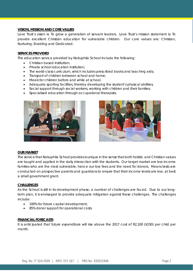## **VISION, MISSION AND CORE VALUES**

Love Trust's vision is: To grow a generation of servant leaders. Love Trust's mission statement is: To provide excellent Christian education for vulnerable children. Our core values are: Christian, Nurturing, Enabling and Dedicated.

# **SERVICES PROVIDED**

The education service provided by Nokuphila School include the following:

- Christian based institution:
- Private school education institution;
- The world-class curriculum, which includes prescribed books and teaching aids;
- Transport of children between school and home;
- Meals for children before and while at school;
- Adequate sporting facilities, thereby developing the student's physical abilities;
- Social support through social workers, working with children and their families;
- Specialised education through occupational therapists.





## **OUR MARKET**

The service that Nokuphila School provides is unique in the sense that both holistic and Christian values are taught and applied in the daily interaction with the students. Our target market are low income families who are the most vulnerable, hence our low fees and the need for donors. Means tests are conducted on prospective parents and guardians to ensure that their income levels are low, at best a small government grant.

## **CHALLENGES**

As the School is still in its development phase, a number of challenges are faced. Due to our longterm plan, it is envisaged to provide adequate mitigation against these challenges. The challenges include:

- 100% for future capital development;
- 85% donor support for operational costs.

## **FINANCIAL FORECASTS**

It is anticipated that future expenditure will rise above the 2017 cost of R2,100 (\$150) per child per month.